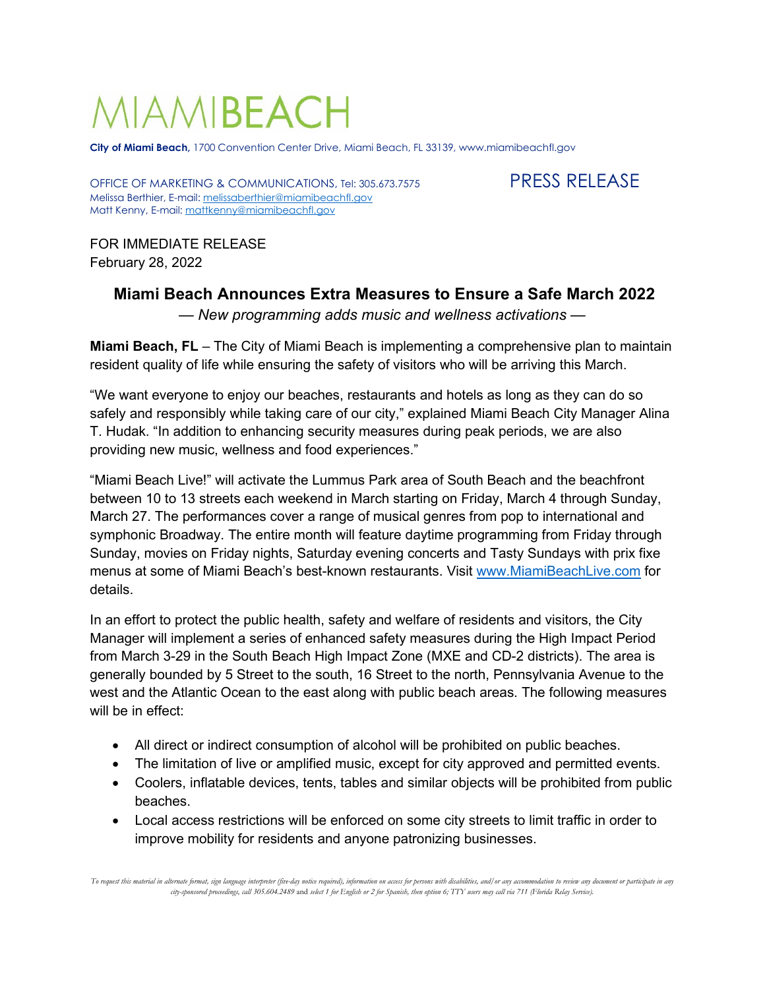# MIAMIBEACH

**City of Miami Beach,** 1700 Convention Center Drive, Miami Beach, FL 33139, www.miamibeachfl.gov

OFFICE OF MARKETING & COMMUNICATIONS, Tel: 305.673.7575 PRESS RELEASE Melissa Berthier, E-mail[: melissaberthier@miamibeachfl.gov](mailto:melissaberthier@miamibeachfl.gov) Matt Kenny, E-mail[: mattkenny@miamibeachfl.gov](mailto:mattkenny@miamibeachfl.gov)

FOR IMMEDIATE RELEASE February 28, 2022

# **Miami Beach Announces Extra Measures to Ensure a Safe March 2022**

*— New programming adds music and wellness activations —*

**Miami Beach, FL** – The City of Miami Beach is implementing a comprehensive plan to maintain resident quality of life while ensuring the safety of visitors who will be arriving this March.

"We want everyone to enjoy our beaches, restaurants and hotels as long as they can do so safely and responsibly while taking care of our city," explained Miami Beach City Manager Alina T. Hudak. "In addition to enhancing security measures during peak periods, we are also providing new music, wellness and food experiences."

"Miami Beach Live!" will activate the Lummus Park area of South Beach and the beachfront between 10 to 13 streets each weekend in March starting on Friday, March 4 through Sunday, March 27. The performances cover a range of musical genres from pop to international and symphonic Broadway. The entire month will feature daytime programming from Friday through Sunday, movies on Friday nights, Saturday evening concerts and Tasty Sundays with prix fixe menus at some of Miami Beach's best-known restaurants. Visit [www.MiamiBeachLive.com](http://www.miamibeachlive.com/) for details.

In an effort to protect the public health, safety and welfare of residents and visitors, the City Manager will implement a series of enhanced safety measures during the High Impact Period from March 3-29 in the South Beach High Impact Zone (MXE and CD-2 districts). The area is generally bounded by 5 Street to the south, 16 Street to the north, Pennsylvania Avenue to the west and the Atlantic Ocean to the east along with public beach areas. The following measures will be in effect:

- All direct or indirect consumption of alcohol will be prohibited on public beaches.
- The limitation of live or amplified music, except for city approved and permitted events.
- Coolers, inflatable devices, tents, tables and similar objects will be prohibited from public beaches.
- Local access restrictions will be enforced on some city streets to limit traffic in order to improve mobility for residents and anyone patronizing businesses.

To request this material in alternate format, sign language interpreter (five-day notice required), information on access for persons with disabilities, and/ or any accommodation to review any document or participate in an *city-sponsored proceedings, call 305.604.2489* and *select 1 for English or 2 for Spanish, then option 6; TTY users may call via 711 (Florida Relay Service).*